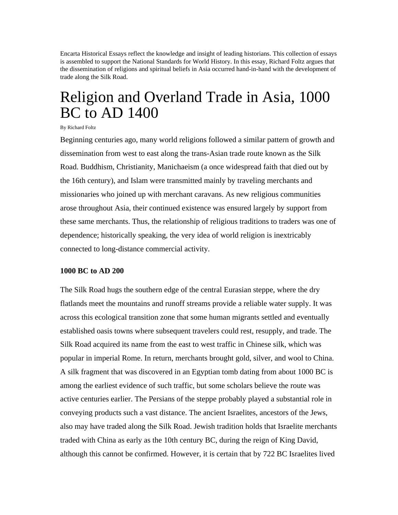Encarta Historical Essays reflect the knowledge and insight of leading historians. This collection of essays is assembled to support the National Standards for World History. In this essay, Richard Foltz argues that the dissemination of religions and spiritual beliefs in Asia occurred hand-in-hand with the development of trade along the Silk Road.

# Religion and Overland Trade in Asia, 1000 BC to AD 1400

#### By Richard Foltz

Beginning centuries ago, many world religions followed a similar pattern of growth and dissemination from west to east along the trans-Asian trade route known as the Silk Road. Buddhism, Christianity, Manichaeism (a once widespread faith that died out by the 16th century), and Islam were transmitted mainly by traveling merchants and missionaries who joined up with merchant caravans. As new religious communities arose throughout Asia, their continued existence was ensured largely by support from these same merchants. Thus, the relationship of religious traditions to traders was one of dependence; historically speaking, the very idea of world religion is inextricably connected to long-distance commercial activity.

#### **1000 BC to AD 200**

The Silk Road hugs the southern edge of the central Eurasian steppe, where the dry flatlands meet the mountains and runoff streams provide a reliable water supply. It was across this ecological transition zone that some human migrants settled and eventually established oasis towns where subsequent travelers could rest, resupply, and trade. The Silk Road acquired its name from the east to west traffic in Chinese silk, which was popular in imperial Rome. In return, merchants brought gold, silver, and wool to China. A silk fragment that was discovered in an Egyptian tomb dating from about 1000 BC is among the earliest evidence of such traffic, but some scholars believe the route was active centuries earlier. The Persians of the steppe probably played a substantial role in conveying products such a vast distance. The ancient Israelites, ancestors of the Jews, also may have traded along the Silk Road. Jewish tradition holds that Israelite merchants traded with China as early as the 10th century BC, during the reign of King David, although this cannot be confirmed. However, it is certain that by 722 BC Israelites lived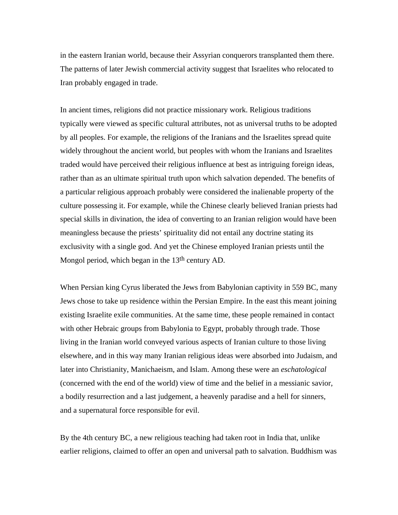in the eastern Iranian world, because their Assyrian conquerors transplanted them there. The patterns of later Jewish commercial activity suggest that Israelites who relocated to Iran probably engaged in trade.

In ancient times, religions did not practice missionary work. Religious traditions typically were viewed as specific cultural attributes, not as universal truths to be adopted by all peoples. For example, the religions of the Iranians and the Israelites spread quite widely throughout the ancient world, but peoples with whom the Iranians and Israelites traded would have perceived their religious influence at best as intriguing foreign ideas, rather than as an ultimate spiritual truth upon which salvation depended. The benefits of a particular religious approach probably were considered the inalienable property of the culture possessing it. For example, while the Chinese clearly believed Iranian priests had special skills in divination, the idea of converting to an Iranian religion would have been meaningless because the priests' spirituality did not entail any doctrine stating its exclusivity with a single god. And yet the Chinese employed Iranian priests until the Mongol period, which began in the 13<sup>th</sup> century AD.

When Persian king Cyrus liberated the Jews from Babylonian captivity in 559 BC, many Jews chose to take up residence within the Persian Empire. In the east this meant joining existing Israelite exile communities. At the same time, these people remained in contact with other Hebraic groups from Babylonia to Egypt, probably through trade. Those living in the Iranian world conveyed various aspects of Iranian culture to those living elsewhere, and in this way many Iranian religious ideas were absorbed into Judaism, and later into Christianity, Manichaeism, and Islam. Among these were an *eschatological* (concerned with the end of the world) view of time and the belief in a messianic savior, a bodily resurrection and a last judgement, a heavenly paradise and a hell for sinners, and a supernatural force responsible for evil.

By the 4th century BC, a new religious teaching had taken root in India that, unlike earlier religions, claimed to offer an open and universal path to salvation. Buddhism was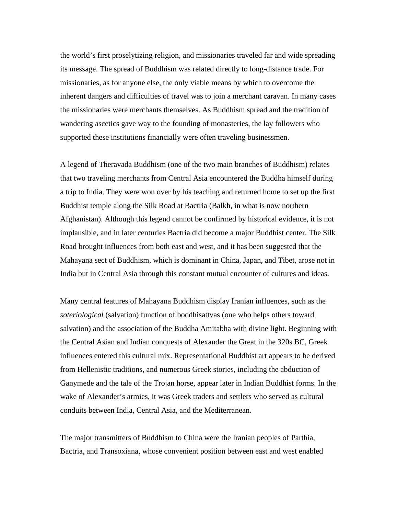the world's first proselytizing religion, and missionaries traveled far and wide spreading its message. The spread of Buddhism was related directly to long-distance trade. For missionaries, as for anyone else, the only viable means by which to overcome the inherent dangers and difficulties of travel was to join a merchant caravan. In many cases the missionaries were merchants themselves. As Buddhism spread and the tradition of wandering ascetics gave way to the founding of monasteries, the lay followers who supported these institutions financially were often traveling businessmen.

A legend of Theravada Buddhism (one of the two main branches of Buddhism) relates that two traveling merchants from Central Asia encountered the Buddha himself during a trip to India. They were won over by his teaching and returned home to set up the first Buddhist temple along the Silk Road at Bactria (Balkh, in what is now northern Afghanistan). Although this legend cannot be confirmed by historical evidence, it is not implausible, and in later centuries Bactria did become a major Buddhist center. The Silk Road brought influences from both east and west, and it has been suggested that the Mahayana sect of Buddhism, which is dominant in China, Japan, and Tibet, arose not in India but in Central Asia through this constant mutual encounter of cultures and ideas.

Many central features of Mahayana Buddhism display Iranian influences, such as the *soteriological* (salvation) function of boddhisattvas (one who helps others toward salvation) and the association of the Buddha Amitabha with divine light. Beginning with the Central Asian and Indian conquests of Alexander the Great in the 320s BC, Greek influences entered this cultural mix. Representational Buddhist art appears to be derived from Hellenistic traditions, and numerous Greek stories, including the abduction of Ganymede and the tale of the Trojan horse, appear later in Indian Buddhist forms. In the wake of Alexander's armies, it was Greek traders and settlers who served as cultural conduits between India, Central Asia, and the Mediterranean.

The major transmitters of Buddhism to China were the Iranian peoples of Parthia, Bactria, and Transoxiana, whose convenient position between east and west enabled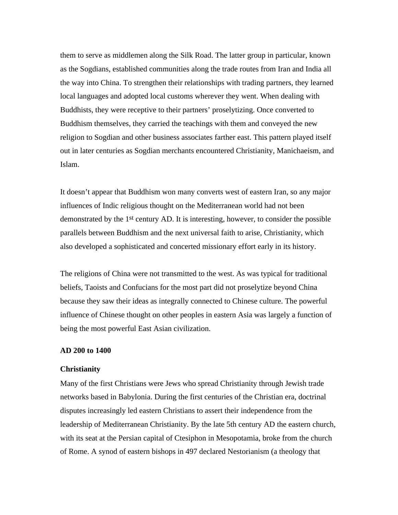them to serve as middlemen along the Silk Road. The latter group in particular, known as the Sogdians, established communities along the trade routes from Iran and India all the way into China. To strengthen their relationships with trading partners, they learned local languages and adopted local customs wherever they went. When dealing with Buddhists, they were receptive to their partners' proselytizing. Once converted to Buddhism themselves, they carried the teachings with them and conveyed the new religion to Sogdian and other business associates farther east. This pattern played itself out in later centuries as Sogdian merchants encountered Christianity, Manichaeism, and Islam.

It doesn't appear that Buddhism won many converts west of eastern Iran, so any major influences of Indic religious thought on the Mediterranean world had not been demonstrated by the 1st century AD. It is interesting, however, to consider the possible parallels between Buddhism and the next universal faith to arise, Christianity, which also developed a sophisticated and concerted missionary effort early in its history.

The religions of China were not transmitted to the west. As was typical for traditional beliefs, Taoists and Confucians for the most part did not proselytize beyond China because they saw their ideas as integrally connected to Chinese culture. The powerful influence of Chinese thought on other peoples in eastern Asia was largely a function of being the most powerful East Asian civilization.

### **AD 200 to 1400**

#### **Christianity**

Many of the first Christians were Jews who spread Christianity through Jewish trade networks based in Babylonia. During the first centuries of the Christian era, doctrinal disputes increasingly led eastern Christians to assert their independence from the leadership of Mediterranean Christianity. By the late 5th century AD the eastern church, with its seat at the Persian capital of Ctesiphon in Mesopotamia, broke from the church of Rome. A synod of eastern bishops in 497 declared Nestorianism (a theology that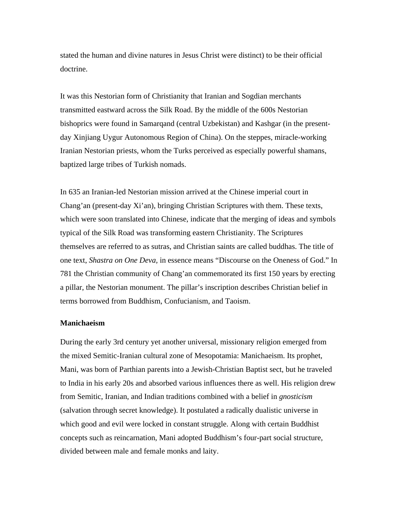stated the human and divine natures in Jesus Christ were distinct) to be their official doctrine.

It was this Nestorian form of Christianity that Iranian and Sogdian merchants transmitted eastward across the Silk Road. By the middle of the 600s Nestorian bishoprics were found in Samarqand (central Uzbekistan) and Kashgar (in the presentday Xinjiang Uygur Autonomous Region of China). On the steppes, miracle-working Iranian Nestorian priests, whom the Turks perceived as especially powerful shamans, baptized large tribes of Turkish nomads.

In 635 an Iranian-led Nestorian mission arrived at the Chinese imperial court in Chang'an (present-day Xi'an), bringing Christian Scriptures with them. These texts, which were soon translated into Chinese, indicate that the merging of ideas and symbols typical of the Silk Road was transforming eastern Christianity. The Scriptures themselves are referred to as sutras, and Christian saints are called buddhas. The title of one text, *Shastra on One Deva,* in essence means "Discourse on the Oneness of God." In 781 the Christian community of Chang'an commemorated its first 150 years by erecting a pillar, the Nestorian monument. The pillar's inscription describes Christian belief in terms borrowed from Buddhism, Confucianism, and Taoism.

## **Manichaeism**

During the early 3rd century yet another universal, missionary religion emerged from the mixed Semitic-Iranian cultural zone of Mesopotamia: Manichaeism. Its prophet, Mani, was born of Parthian parents into a Jewish-Christian Baptist sect, but he traveled to India in his early 20s and absorbed various influences there as well. His religion drew from Semitic, Iranian, and Indian traditions combined with a belief in *gnosticism* (salvation through secret knowledge). It postulated a radically dualistic universe in which good and evil were locked in constant struggle. Along with certain Buddhist concepts such as reincarnation, Mani adopted Buddhism's four-part social structure, divided between male and female monks and laity.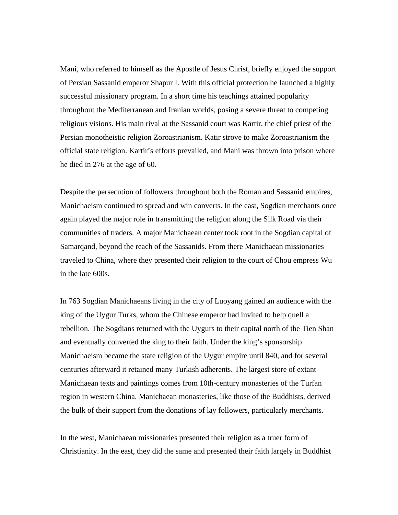Mani, who referred to himself as the Apostle of Jesus Christ, briefly enjoyed the support of Persian Sassanid emperor Shapur I. With this official protection he launched a highly successful missionary program. In a short time his teachings attained popularity throughout the Mediterranean and Iranian worlds, posing a severe threat to competing religious visions. His main rival at the Sassanid court was Kartir, the chief priest of the Persian monotheistic religion Zoroastrianism. Katir strove to make Zoroastrianism the official state religion. Kartir's efforts prevailed, and Mani was thrown into prison where he died in 276 at the age of 60.

Despite the persecution of followers throughout both the Roman and Sassanid empires, Manichaeism continued to spread and win converts. In the east, Sogdian merchants once again played the major role in transmitting the religion along the Silk Road via their communities of traders. A major Manichaean center took root in the Sogdian capital of Samarqand, beyond the reach of the Sassanids. From there Manichaean missionaries traveled to China, where they presented their religion to the court of Chou empress Wu in the late 600s.

In 763 Sogdian Manichaeans living in the city of Luoyang gained an audience with the king of the Uygur Turks, whom the Chinese emperor had invited to help quell a rebellion. The Sogdians returned with the Uygurs to their capital north of the Tien Shan and eventually converted the king to their faith. Under the king's sponsorship Manichaeism became the state religion of the Uygur empire until 840, and for several centuries afterward it retained many Turkish adherents. The largest store of extant Manichaean texts and paintings comes from 10th-century monasteries of the Turfan region in western China. Manichaean monasteries, like those of the Buddhists, derived the bulk of their support from the donations of lay followers, particularly merchants.

In the west, Manichaean missionaries presented their religion as a truer form of Christianity. In the east, they did the same and presented their faith largely in Buddhist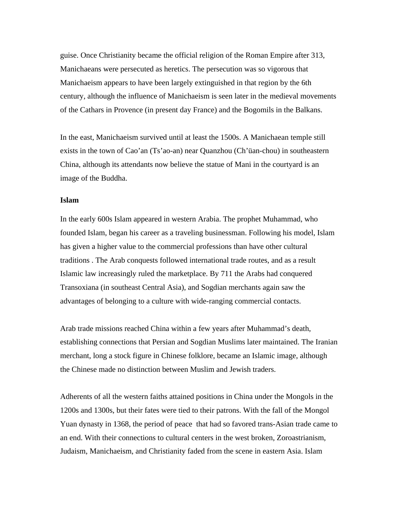guise. Once Christianity became the official religion of the Roman Empire after 313, Manichaeans were persecuted as heretics. The persecution was so vigorous that Manichaeism appears to have been largely extinguished in that region by the 6th century, although the influence of Manichaeism is seen later in the medieval movements of the Cathars in Provence (in present day France) and the Bogomils in the Balkans.

In the east, Manichaeism survived until at least the 1500s. A Manichaean temple still exists in the town of Cao'an (Ts'ao-an) near Quanzhou (Ch'üan-chou) in southeastern China, although its attendants now believe the statue of Mani in the courtyard is an image of the Buddha.

## **Islam**

In the early 600s Islam appeared in western Arabia. The prophet Muhammad, who founded Islam, began his career as a traveling businessman. Following his model, Islam has given a higher value to the commercial professions than have other cultural traditions . The Arab conquests followed international trade routes, and as a result Islamic law increasingly ruled the marketplace. By 711 the Arabs had conquered Transoxiana (in southeast Central Asia), and Sogdian merchants again saw the advantages of belonging to a culture with wide-ranging commercial contacts.

Arab trade missions reached China within a few years after Muhammad's death, establishing connections that Persian and Sogdian Muslims later maintained. The Iranian merchant, long a stock figure in Chinese folklore, became an Islamic image, although the Chinese made no distinction between Muslim and Jewish traders.

Adherents of all the western faiths attained positions in China under the Mongols in the 1200s and 1300s, but their fates were tied to their patrons. With the fall of the Mongol Yuan dynasty in 1368, the period of peace that had so favored trans-Asian trade came to an end. With their connections to cultural centers in the west broken, Zoroastrianism, Judaism, Manichaeism, and Christianity faded from the scene in eastern Asia. Islam